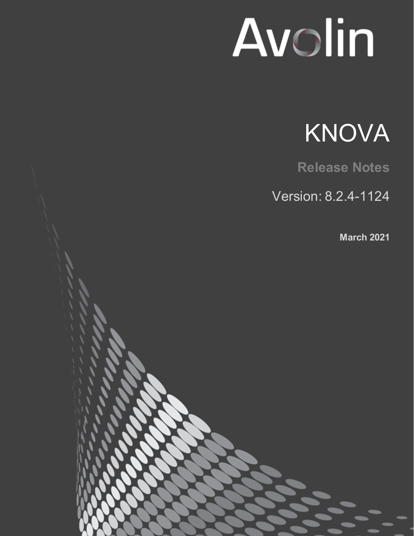# Avolin



**Release Notes**

Version: 8.2.4-1124

**March 2021**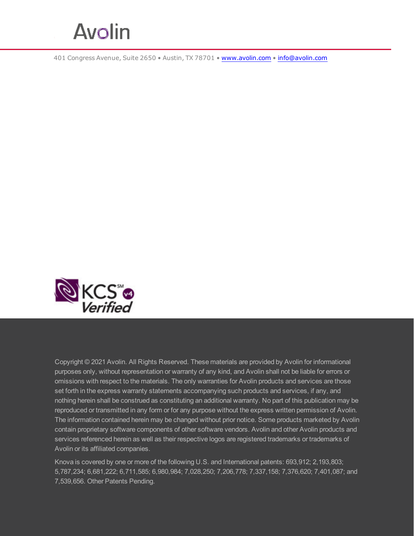

401 Congress Avenue, Suite 2650 • Austin, TX 78701 • [www.avolin.com](http://www.avolin.com/) • [info@avolin.com](mailto:info@avolin.com)



Copyright © 2021 Avolin. All Rights Reserved. These materials are provided by Avolin for informational purposes only, without representation or warranty of any kind, and Avolin shall not be liable for errors or omissions with respect to the materials. The only warranties for Avolin products and services are those set forth in the express warranty statements accompanying such products and services, if any, and nothing herein shall be construed as constituting an additional warranty. No part of this publication may be reproduced or transmitted in any form or for any purpose without the express written permission of Avolin. The information contained herein may be changed without prior notice. Some products marketed by Avolin contain proprietary software components of other software vendors. Avolin and other Avolin products and services referenced herein as well as their respective logos are registered trademarks or trademarks of Avolin or its affiliated companies.

Knova is covered by one or more of the following U.S. and International patents: 693,912; 2,193,803; 5,787,234; 6,681,222; 6,711,585; 6,980,984; 7,028,250; 7,206,778; 7,337,158; 7,376,620; 7,401,087; and 7,539,656. Other Patents Pending.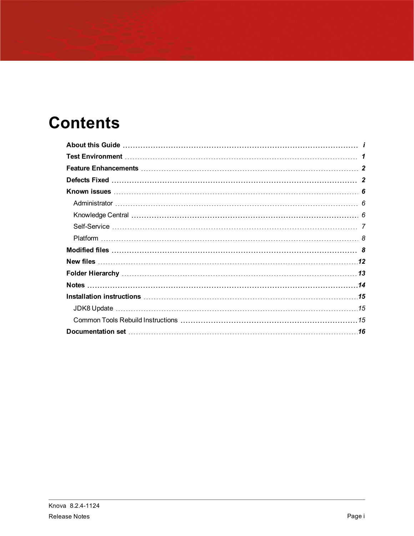# **Contents**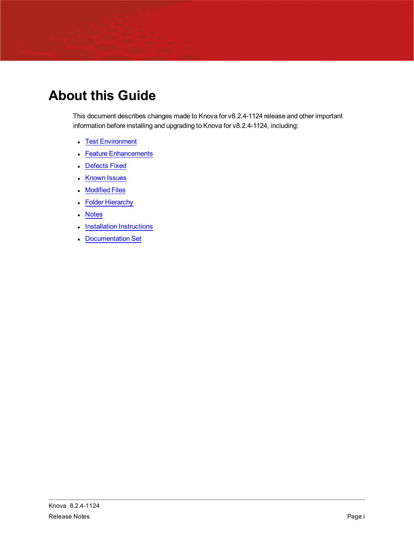# <span id="page-3-0"></span>**About this Guide**

This document describes changes made to Knova for v8.2.4-1124 release and other important information before installing and upgrading to Knova for v8.2.4-1124, including:

- Test [Environment](#page-4-0)
- Feature [Enhancements](#page-5-0)
- [Defects](#page-5-1) Fixed
- [Known](#page-9-0) Issues
- [Modified](#page-11-1) Files
- Folder [Hierarchy](#page-16-0)
- [Notes](#page-17-0)
- Installation [Instructions](#page-18-0)
- **[Documentation](#page-19-0) Set**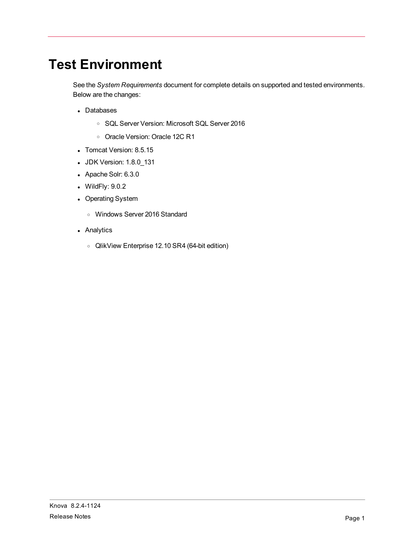# <span id="page-4-0"></span>**Test Environment**

See the *System Requirements* document for complete details on supported and tested environments. Below are the changes:

- Databases
	- <sup>o</sup> SQL Server Version: Microsoft SQL Server 2016
	- <sup>o</sup> Oracle Version: Oracle 12C R1
- Tomcat Version: 8.5.15
- JDK Version: 1.8.0\_131
- Apache Solr: 6.3.0
- $\bullet$  WildFly:  $9.0.2$
- Operating System
	- <sup>o</sup> Windows Server 2016 Standard
- Analytics
	- <sup>o</sup> QlikView Enterprise 12.10 SR4 (64-bit edition)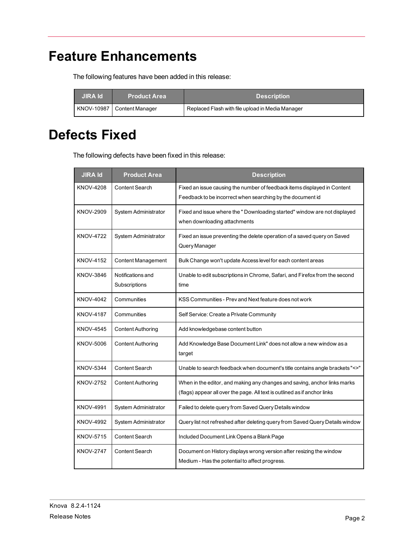## <span id="page-5-0"></span>**Feature Enhancements**

The following features have been added in this release:

| JIRA Id. | <b>Product Area</b>        | <b>Description</b>                               |
|----------|----------------------------|--------------------------------------------------|
|          | KNOV-10987 Content Manager | Replaced Flash with file upload in Media Manager |

#### <span id="page-5-1"></span>**Defects Fixed**

The following defects have been fixed in this release:

| <b>JIRA Id</b>   | <b>Product Area</b>                | <b>Description</b>                                                                                                                                     |
|------------------|------------------------------------|--------------------------------------------------------------------------------------------------------------------------------------------------------|
| <b>KNOV-4208</b> | <b>Content Search</b>              | Fixed an issue causing the number of feedback items displayed in Content<br>Feedback to be incorrect when searching by the document id                 |
| <b>KNOV-2909</b> | System Administrator               | Fixed and issue where the " Downloading started" window are not displayed<br>when downloading attachments                                              |
| <b>KNOV-4722</b> | System Administrator               | Fixed an issue preventing the delete operation of a saved query on Saved<br>Query Manager                                                              |
| <b>KNOV-4152</b> | <b>Content Management</b>          | Bulk Change won't update Access level for each content areas                                                                                           |
| KNOV-3846        | Notifications and<br>Subscriptions | Unable to edit subscriptions in Chrome, Safari, and Firefox from the second<br>time                                                                    |
| <b>KNOV-4042</b> | Communities                        | KSS Communities - Prev and Next feature does not work                                                                                                  |
| <b>KNOV-4187</b> | Communities                        | Self Service: Create a Private Community                                                                                                               |
| <b>KNOV-4545</b> | <b>Content Authoring</b>           | Add knowledgebase content button                                                                                                                       |
| KNOV-5006        | <b>Content Authoring</b>           | Add Knowledge Base Document Link" does not allow a new window as a<br>target                                                                           |
| <b>KNOV-5344</b> | <b>Content Search</b>              | Unable to search feedback when document's title contains angle brackets "<>"                                                                           |
| <b>KNOV-2752</b> | <b>Content Authoring</b>           | When in the editor, and making any changes and saving, anchor links marks<br>(flags) appear all over the page. All text is outlined as if anchor links |
| <b>KNOV-4991</b> | <b>System Administrator</b>        | Failed to delete query from Saved Query Details window                                                                                                 |
| <b>KNOV-4992</b> | System Administrator               | Query list not refreshed after deleting query from Saved Query Details window                                                                          |
| KNOV-5715        | Content Search                     | Included Document Link Opens a Blank Page                                                                                                              |
| <b>KNOV-2747</b> | Content Search                     | Document on History displays wrong version after resizing the window<br>Medium - Has the potential to affect progress.                                 |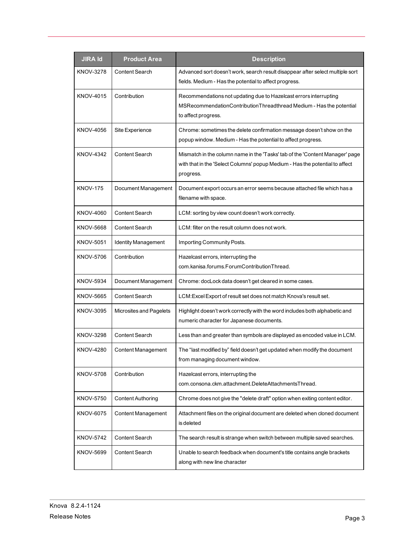| <b>JIRA Id</b>   | <b>Product Area</b>        | <b>Description</b>                                                                                                                                                        |
|------------------|----------------------------|---------------------------------------------------------------------------------------------------------------------------------------------------------------------------|
| KNOV-3278        | <b>Content Search</b>      | Advanced sort doesn't work, search result disappear after select multiple sort<br>fields. Medium - Has the potential to affect progress.                                  |
| <b>KNOV-4015</b> | Contribution               | Recommendations not updating due to Hazelcast errors interrupting<br>MSRecommendationContributionThreadthread Medium - Has the potential<br>to affect progress.           |
| KNOV-4056        | Site Experience            | Chrome: sometimes the delete confirmation message doesn't show on the<br>popup window. Medium - Has the potential to affect progress.                                     |
| <b>KNOV-4342</b> | <b>Content Search</b>      | Mismatch in the column name in the 'Tasks' tab of the 'Content Manager' page<br>with that in the 'Select Columns' popup Medium - Has the potential to affect<br>progress. |
| <b>KNOV-175</b>  | Document Management        | Document export occurs an error seems because attached file which has a<br>filename with space.                                                                           |
| <b>KNOV-4060</b> | Content Search             | LCM: sorting by view count doesn't work correctly.                                                                                                                        |
| KNOV-5668        | <b>Content Search</b>      | LCM: filter on the result column does not work.                                                                                                                           |
| KNOV-5051        | <b>Identity Management</b> | Importing Community Posts.                                                                                                                                                |
| KNOV-5706        | Contribution               | Hazelcast errors, interrupting the<br>com.kanisa.forums.ForumContributionThread.                                                                                          |
| KNOV-5934        | Document Management        | Chrome: docLock data doesn't get cleared in some cases.                                                                                                                   |
| KNOV-5665        | <b>Content Search</b>      | LCM: Excel Export of result set does not match Knova's result set.                                                                                                        |
| <b>KNOV-3095</b> | Microsites and Pagelets    | Highlight doesn't work correctly with the word includes both alphabetic and<br>numeric character for Japanese documents.                                                  |
| KNOV-3298        | Content Search             | Less than and greater than symbols are displayed as encoded value in LCM.                                                                                                 |
| <b>KNOV-4280</b> | Content Management         | The "last modified by" field doesn't get updated when modify the document<br>from managing document window.                                                               |
| <b>KNOV-5708</b> | Contribution               | Hazelcast errors, interrupting the<br>com.consona.ckm.attachment.DeleteAttachmentsThread.                                                                                 |
| <b>KNOV-5750</b> | <b>Content Authoring</b>   | Chrome does not give the "delete draft" option when exiting content editor.                                                                                               |
| <b>KNOV-6075</b> | Content Management         | Attachment files on the original document are deleted when cloned document<br>is deleted                                                                                  |
| <b>KNOV-5742</b> | Content Search             | The search result is strange when switch between multiple saved searches.                                                                                                 |
| <b>KNOV-5699</b> | Content Search             | Unable to search feedback when document's title contains angle brackets<br>along with new line character                                                                  |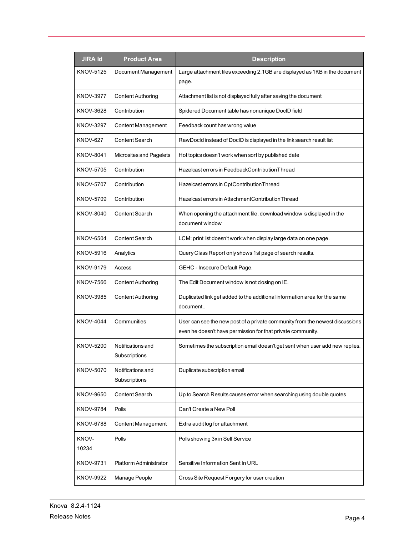| <b>JIRA Id</b>   | <b>Product Area</b>                | <b>Description</b>                                                                                                                          |
|------------------|------------------------------------|---------------------------------------------------------------------------------------------------------------------------------------------|
| KNOV-5125        | Document Management                | Large attachment files exceeding 2.1GB are displayed as 1KB in the document<br>page.                                                        |
| <b>KNOV-3977</b> | <b>Content Authoring</b>           | Attachment list is not displayed fully after saving the document                                                                            |
| KNOV-3628        | Contribution                       | Spidered Document table has nonunique DocID field                                                                                           |
| <b>KNOV-3297</b> | Content Management                 | Feedback count has wrong value                                                                                                              |
| <b>KNOV-627</b>  | Content Search                     | RawDocld instead of DoclD is displayed in the link search result list                                                                       |
| <b>KNOV-8041</b> | Microsites and Pagelets            | Hot topics doesn't work when sort by published date                                                                                         |
| <b>KNOV-5705</b> | Contribution                       | Hazelcast errors in FeedbackContributionThread                                                                                              |
| <b>KNOV-5707</b> | Contribution                       | Hazelcast errors in CptContributionThread                                                                                                   |
| KNOV-5709        | Contribution                       | Hazelcast errors in AttachmentContributionThread                                                                                            |
| <b>KNOV-8040</b> | Content Search                     | When opening the attachment file, download window is displayed in the<br>document window                                                    |
| <b>KNOV-6504</b> | Content Search                     | LCM: print list doesn't work when display large data on one page.                                                                           |
| <b>KNOV-5916</b> | Analytics                          | Query Class Report only shows 1st page of search results.                                                                                   |
| <b>KNOV-9179</b> | Access                             | GEHC - Insecure Default Page.                                                                                                               |
| KNOV-7566        | <b>Content Authoring</b>           | The Edit Document window is not closing on IE.                                                                                              |
| KNOV-3985        | <b>Content Authoring</b>           | Duplicated link get added to the additional information area for the same<br>document                                                       |
| <b>KNOV-4044</b> | Communities                        | User can see the new post of a private community from the newest discussions<br>even he doesn't have permission for that private community. |
| <b>KNOV-5200</b> | Notifications and<br>Subscriptions | Sometimes the subscription email doesn't get sent when user add new replies.                                                                |
| <b>KNOV-5070</b> | Notifications and<br>Subscriptions | Duplicate subscription email                                                                                                                |
| <b>KNOV-9650</b> | Content Search                     | Up to Search Results causes error when searching using double quotes                                                                        |
| <b>KNOV-9784</b> | Polls                              | Can't Create a New Poll                                                                                                                     |
| <b>KNOV-6788</b> | <b>Content Management</b>          | Extra audit log for attachment                                                                                                              |
| KNOV-<br>10234   | Polls                              | Polls showing 3x in Self Service                                                                                                            |
| KNOV-9731        | Platform Administrator             | Sensitive Information Sent In URL                                                                                                           |
| <b>KNOV-9922</b> | Manage People                      | Cross Site Request Forgery for user creation                                                                                                |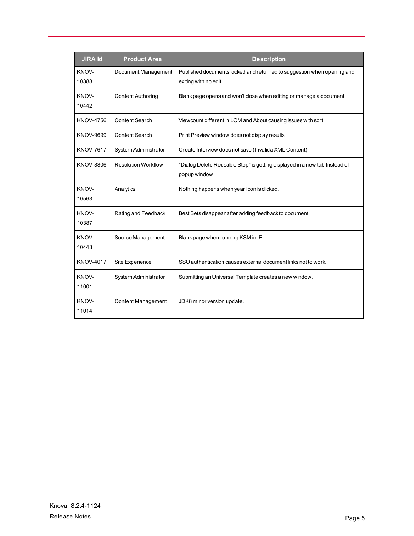| <b>JIRA Id</b>   | <b>Product Area</b>         | <b>Description</b>                                                                             |
|------------------|-----------------------------|------------------------------------------------------------------------------------------------|
| KNOV-<br>10388   | Document Management         | Published documents locked and returned to suggestion when opening and<br>exiting with no edit |
| KNOV-<br>10442   | <b>Content Authoring</b>    | Blank page opens and won't close when editing or manage a document                             |
| <b>KNOV-4756</b> | <b>Content Search</b>       | Viewcount different in LCM and About causing issues with sort                                  |
| KNOV-9699        | Content Search              | Print Preview window does not display results                                                  |
| <b>KNOV-7617</b> | <b>System Administrator</b> | Create Interview does not save (Invalida XML Content)                                          |
| KNOV-8806        | <b>Resolution Workflow</b>  | "Dialog Delete Reusable Step" is getting displayed in a new tab Instead of<br>popup window     |
| KNOV-<br>10563   | Analytics                   | Nothing happens when year Icon is clicked.                                                     |
| KNOV-<br>10387   | Rating and Feedback         | Best Bets disappear after adding feedback to document                                          |
| KNOV-<br>10443   | Source Management           | Blank page when running KSM in IE                                                              |
| <b>KNOV-4017</b> | Site Experience             | SSO authentication causes external document links not to work.                                 |
| KNOV-<br>11001   | System Administrator        | Submitting an Universal Template creates a new window.                                         |
| KNOV-<br>11014   | <b>Content Management</b>   | JDK8 minor version update.                                                                     |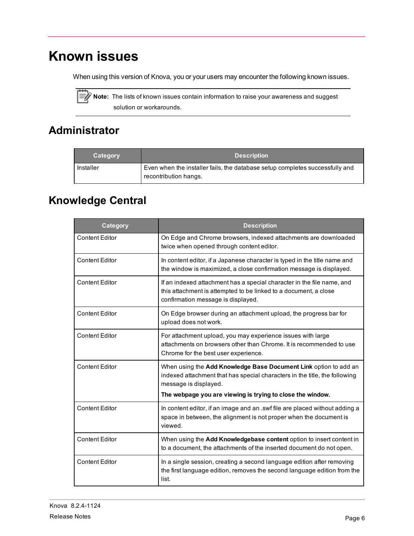## <span id="page-9-0"></span>**Known issues**

When using this version of Knova, you or your users may encounter the following known issues.



Note: The lists of known issues contain information to raise your awareness and suggest solution or workarounds.

#### <span id="page-9-1"></span>**Administrator**

| Category  | <b>Description</b>                                                                                    |
|-----------|-------------------------------------------------------------------------------------------------------|
| Installer | Even when the installer fails, the database setup completes successfully and<br>recontribution hangs. |

#### <span id="page-9-2"></span>**Knowledge Central**

| Category              | <b>Description</b>                                                                                                                                                                                                                    |
|-----------------------|---------------------------------------------------------------------------------------------------------------------------------------------------------------------------------------------------------------------------------------|
| <b>Content Editor</b> | On Edge and Chrome browsers, indexed attachments are downloaded<br>twice when opened through content editor.                                                                                                                          |
| <b>Content Editor</b> | In content editor, if a Japanese character is typed in the title name and<br>the window is maximized, a close confirmation message is displayed.                                                                                      |
| <b>Content Editor</b> | If an indexed attachment has a special character in the file name, and<br>this attachment is attempted to be linked to a document, a close<br>confirmation message is displayed.                                                      |
| <b>Content Editor</b> | On Edge browser during an attachment upload, the progress bar for<br>upload does not work.                                                                                                                                            |
| <b>Content Editor</b> | For attachment upload, you may experience issues with large<br>attachments on browsers other than Chrome. It is recommended to use<br>Chrome for the best user experience.                                                            |
| <b>Content Editor</b> | When using the Add Knowledge Base Document Link option to add an<br>indexed attachment that has special characters in the title, the following<br>message is displayed.<br>The webpage you are viewing is trying to close the window. |
| <b>Content Editor</b> | In content editor, if an image and an .swf file are placed without adding a<br>space in between, the alignment is not proper when the document is<br>viewed.                                                                          |
| <b>Content Editor</b> | When using the Add Knowledgebase content option to insert content in<br>to a document, the attachments of the inserted document do not open.                                                                                          |
| <b>Content Editor</b> | In a single session, creating a second language edition after removing<br>the first language edition, removes the second language edition from the<br>list.                                                                           |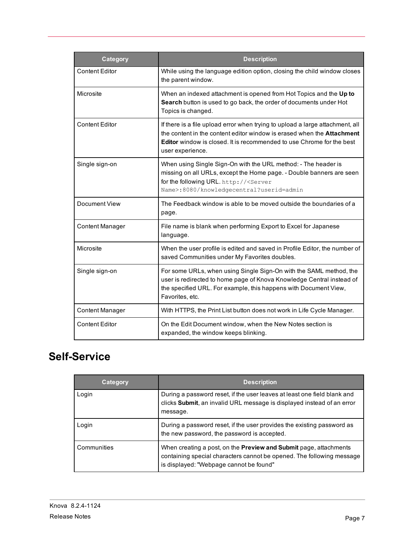| <b>Category</b>        | <b>Description</b>                                                                                                                                                                                                                                                 |
|------------------------|--------------------------------------------------------------------------------------------------------------------------------------------------------------------------------------------------------------------------------------------------------------------|
| <b>Content Editor</b>  | While using the language edition option, closing the child window closes<br>the parent window.                                                                                                                                                                     |
| Microsite              | When an indexed attachment is opened from Hot Topics and the Up to<br>Search button is used to go back, the order of documents under Hot<br>Topics is changed.                                                                                                     |
| <b>Content Editor</b>  | If there is a file upload error when trying to upload a large attachment, all<br>the content in the content editor window is erased when the <b>Attachment</b><br><b>Editor</b> window is closed. It is recommended to use Chrome for the best<br>user experience. |
| Single sign-on         | When using Single Sign-On with the URL method: - The header is<br>missing on all URLs, except the Home page. - Double banners are seen<br>for the following URL. http:// <server<br>Name&gt;:8080/knowledgecentral?userid=admin</server<br>                        |
| Document View          | The Feedback window is able to be moved outside the boundaries of a<br>page.                                                                                                                                                                                       |
| <b>Content Manager</b> | File name is blank when performing Export to Excel for Japanese<br>language.                                                                                                                                                                                       |
| Microsite              | When the user profile is edited and saved in Profile Editor, the number of<br>saved Communities under My Favorites doubles.                                                                                                                                        |
| Single sign-on         | For some URLs, when using Single Sign-On with the SAML method, the<br>user is redirected to home page of Knova Knowledge Central instead of<br>the specified URL. For example, this happens with Document View,<br>Favorites, etc.                                 |
| <b>Content Manager</b> | With HTTPS, the Print List button does not work in Life Cycle Manager.                                                                                                                                                                                             |
| <b>Content Editor</b>  | On the Edit Document window, when the New Notes section is<br>expanded, the window keeps blinking.                                                                                                                                                                 |

#### <span id="page-10-0"></span>**Self-Service**

| Category    | <b>Description</b>                                                                                                                                                                           |
|-------------|----------------------------------------------------------------------------------------------------------------------------------------------------------------------------------------------|
| Login       | During a password reset, if the user leaves at least one field blank and<br>clicks Submit, an invalid URL message is displayed instead of an error<br>message.                               |
| Login       | During a password reset, if the user provides the existing password as<br>the new password, the password is accepted.                                                                        |
| Communities | When creating a post, on the <b>Preview and Submit</b> page, attachments<br>containing special characters cannot be opened. The following message<br>is displayed: "Webpage cannot be found" |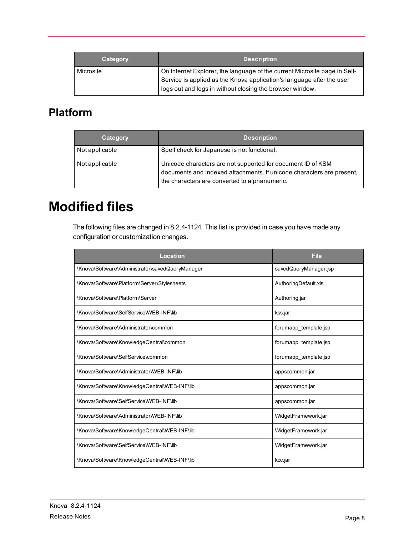| Category  | <b>Description</b>                                                                                                                                                                                             |
|-----------|----------------------------------------------------------------------------------------------------------------------------------------------------------------------------------------------------------------|
| Microsite | On Internet Explorer, the language of the current Microsite page in Self-<br>Service is applied as the Knova application's language after the user<br>logs out and logs in without closing the browser window. |

#### <span id="page-11-0"></span>**Platform**

| Category       | <b>Description</b>                                                                                                                                                                    |
|----------------|---------------------------------------------------------------------------------------------------------------------------------------------------------------------------------------|
| Not applicable | Spell check for Japanese is not functional.                                                                                                                                           |
| Not applicable | Unicode characters are not supported for document ID of KSM<br>documents and indexed attachments. If unicode characters are present,<br>the characters are converted to alphanumeric. |

#### <span id="page-11-1"></span>**Modified files**

The following files are changed in 8.2.4-1124. This list is provided in case you have made any configuration or customization changes.

| Location                                        | <b>File</b>           |  |
|-------------------------------------------------|-----------------------|--|
| \Knova\Software\Administrator\savedQueryManager | savedQueryManager.jsp |  |
| \Knova\Software\Platform\Server\Stylesheets     | AuthoringDefault.xls  |  |
| \Knova\Software\Platform\Server                 | Authoring.jar         |  |
| \Knova\Software\SelfService\WEB-INF\lib         | kss.jar               |  |
| \Knova\Software\Administrator\common            | forumapp template.jsp |  |
| \Knova\Software\KnowledgeCentral\common         | forumapp template.jsp |  |
| \Knova\Software\SelfService\common              | forumapp template.jsp |  |
| \Knova\Software\Administrator\WEB-INF\lib       | appscommon.jar        |  |
| \Knova\Software\KnowledgeCentral\WEB-INF\lib    | appscommon.jar        |  |
| \Knova\Software\SelfService\WEB-INF\lib         | appscommon.jar        |  |
| \Knova\Software\Administrator\WEB-INF\lib       | WidgetFramework.jar   |  |
| \Knova\Software\KnowledgeCentral\WEB-INF\lib    | WidgetFramework.jar   |  |
| \Knova\Software\SelfService\WEB-INF\lib         | WidgetFramework.jar   |  |
| \Knova\Software\KnowledgeCentral\WEB-INF\lib    | kcc.jar               |  |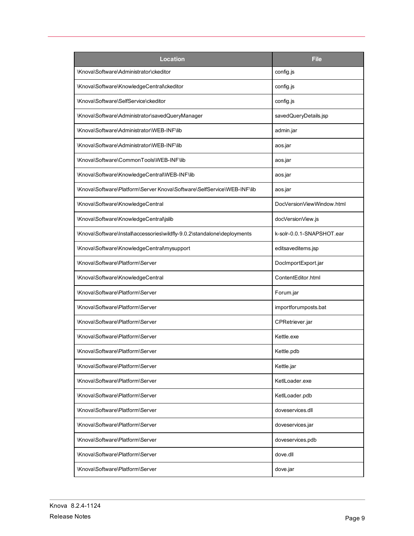| Location                                                                 | <b>File</b>               |  |
|--------------------------------------------------------------------------|---------------------------|--|
| \Knova\Software\Administrator\ckeditor                                   | config.js                 |  |
| \Knova\Software\KnowledgeCentral\ckeditor                                | config.js                 |  |
| \Knova\Software\SelfService\ckeditor                                     | config.js                 |  |
| \Knova\Software\Administrator\savedQueryManager                          | savedQueryDetails.jsp     |  |
| \Knova\Software\Administrator\WEB-INF\lib                                | admin.jar                 |  |
| \Knova\Software\Administrator\WEB-INF\lib                                | aos.jar                   |  |
| \Knova\Software\CommonTools\WEB-INF\lib                                  | aos.jar                   |  |
| \Knova\Software\KnowledgeCentral\WEB-INF\lib                             | aos.jar                   |  |
| \Knova\Software\Platform\Server Knova\Software\SelfService\WEB-INF\lib   | aos.jar                   |  |
| \Knova\Software\KnowledgeCentral                                         | DocVersionViewWindow.html |  |
| \Knova\Software\KnowledgeCentral\jslib                                   | docVersionView.js         |  |
| \Knova\Software\Install\accessories\wildfly-9.0.2\standalone\deployments | k-solr-0.0.1-SNAPSHOT.ear |  |
| \Knova\Software\KnowledgeCentral\mysupport                               | editsaveditems.jsp        |  |
| \Knova\Software\Platform\Server                                          | DocImportExport.jar       |  |
| \Knova\Software\KnowledgeCentral                                         | ContentEditor.html        |  |
| \Knova\Software\Platform\Server                                          | Forum.jar                 |  |
| \Knova\Software\Platform\Server                                          | importforumposts.bat      |  |
| \Knova\Software\Platform\Server                                          | CPRetriever.jar           |  |
| \Knova\Software\Platform\Server                                          | Kettle.exe                |  |
| \Knova\Software\Platform\Server                                          | Kettle.pdb                |  |
| \Knova\Software\Platform\Server                                          | Kettle.jar                |  |
| \Knova\Software\Platform\Server                                          | Ketll oader exe           |  |
| \Knova\Software\Platform\Server                                          | KetlLoader.pdb            |  |
| \Knova\Software\Platform\Server                                          | doveservices.dll          |  |
| \Knova\Software\Platform\Server                                          | doveservices.jar          |  |
| \Knova\Software\Platform\Server                                          | doveservices.pdb          |  |
| \Knova\Software\Platform\Server                                          | dove.dll                  |  |
| \Knova\Software\Platform\Server                                          | dove.jar                  |  |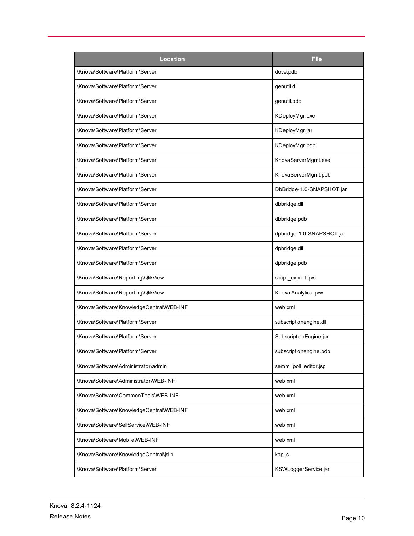| <b>Location</b>                          | <b>File</b>               |
|------------------------------------------|---------------------------|
| \Knova\Software\Platform\Server          | dove.pdb                  |
| \Knova\Software\Platform\Server          | genutil.dll               |
| \Knova\Software\Platform\Server          | genutil.pdb               |
| \Knova\Software\Platform\Server          | KDeployMgr.exe            |
| \Knova\Software\Platform\Server          | KDeployMgr.jar            |
| \Knova\Software\Platform\Server          | KDeployMgr.pdb            |
| \Knova\Software\Platform\Server          | KnovaServerMgmt.exe       |
| \Knova\Software\Platform\Server          | KnovaServerMgmt.pdb       |
| \Knova\Software\Platform\Server          | DbBridge-1.0-SNAPSHOT.jar |
| \Knova\Software\Platform\Server          | dbbridge.dll              |
| \Knova\Software\Platform\Server          | dbbridge.pdb              |
| \Knova\Software\Platform\Server          | dpbridge-1.0-SNAPSHOT.jar |
| \Knova\Software\Platform\Server          | dpbridge.dll              |
| \Knova\Software\Platform\Server          | dpbridge.pdb              |
| \Knova\Software\Reporting\QlikView       | script_export.qvs         |
| \Knova\Software\Reporting\QlikView       | Knova Analytics.qvw       |
| \Knova\Software\KnowledgeCentral\WEB-INF | web.xml                   |
| \Knova\Software\Platform\Server          | subscriptionengine.dll    |
| \Knova\Software\Platform\Server          | SubscriptionEngine.jar    |
| \Knova\Software\Platform\Server          | subscriptionengine.pdb    |
| \Knova\Software\Administrator\admin      | semm_poll_editor.jsp      |
| \Knova\Software\Administrator\WEB-INF    | web.xml                   |
| \Knova\Software\CommonTools\WEB-INF      | web.xml                   |
| \Knova\Software\KnowledgeCentral\WEB-INF | web.xml                   |
| \Knova\Software\SelfService\WEB-INF      | web.xml                   |
| \Knova\Software\Mobile\WEB-INF           | web.xml                   |
| \Knova\Software\KnowledgeCentral\jslib   | kap js                    |
| \Knova\Software\Platform\Server          | KSWLoggerService.jar      |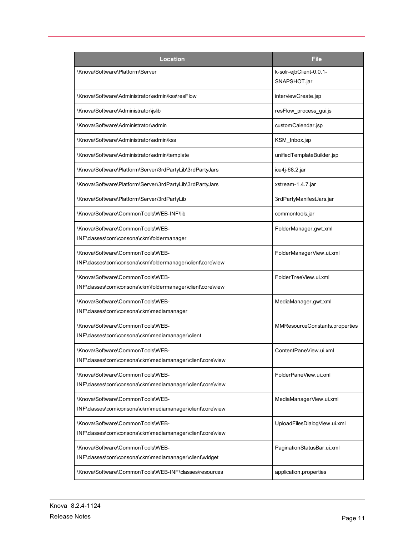| <b>Location</b>                                                                                | File                                    |
|------------------------------------------------------------------------------------------------|-----------------------------------------|
| \Knova\Software\Platform\Server                                                                | k-solr-ejbClient-0.0.1-<br>SNAPSHOT.jar |
| \Knova\Software\Administrator\admin\kss\resFlow                                                | interviewCreate.jsp                     |
| \Knova\Software\Administrator\jslib                                                            | resFlow process gui.js                  |
| \Knova\Software\Administrator\admin                                                            | customCalendar.jsp                      |
| \Knova\Software\Administrator\admin\kss                                                        | KSM Inbox.jsp                           |
| \Knova\Software\Administrator\admin\template                                                   | unifiedTemplateBuilder.jsp              |
| \Knova\Software\Platform\Server\3rdPartyLib\3rdPartyJars                                       | icu4j-68.2.jar                          |
| \Knova\Software\Platform\Server\3rdPartyLib\3rdPartyJars                                       | xstream-1.4.7.jar                       |
| \Knova\Software\Platform\Server\3rdPartyLib                                                    | 3rdPartyManifestJars.jar                |
| \Knova\Software\CommonTools\WEB-INF\lib                                                        | commontools.jar                         |
| \Knova\Software\CommonTools\WEB-<br>INF\classes\com\consona\ckm\foldermanager                  | FolderManager.gwt.xml                   |
| \Knova\Software\CommonTools\WEB-<br>INF\classes\com\consona\ckm\foldermanager\client\core\view | FolderManagerView.ui.xml                |
| \Knova\Software\CommonTools\WEB-<br>INF\classes\com\consona\ckm\foldermanager\client\core\view | FolderTreeView.ui.xml                   |
| \Knova\Software\CommonTools\WEB-<br>INF\classes\com\consona\ckm\mediamanager                   | MediaManager.gwt.xml                    |
| \Knova\Software\CommonTools\WEB-<br>INF\classes\com\consona\ckm\mediamanager\client            | MMResourceConstants.properties          |
| \Knova\Software\CommonTools\WEB-<br>INF\classes\com\consona\ckm\mediamanager\client\core\view  | ContentPaneView.ui.xml                  |
| \Knova\Software\CommonTools\WEB-<br>INF\classes\com\consona\ckm\mediamanager\client\core\view  | FolderPaneView.ui.xml                   |
| \Knova\Software\CommonTools\WEB-<br>INF\classes\com\consona\ckm\mediamanager\client\core\view  | MediaManagerView.ui.xml                 |
| \Knova\Software\CommonTools\WEB-<br>INF\classes\com\consona\ckm\mediamanager\client\core\view  | UploadFilesDialogView.ui.xml            |
| \Knova\Software\CommonTools\WEB-<br>INF\classes\com\consona\ckm\mediamanager\client\widget     | PaginationStatusBar.ui.xml              |
| \Knova\Software\CommonTools\WEB-INF\classes\resources                                          | application.properties                  |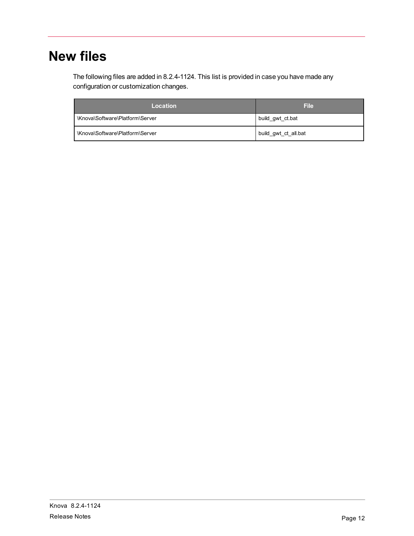# <span id="page-15-0"></span>**New files**

The following files are added in 8.2.4-1124. This list is provided in case you have made any configuration or customization changes.

| Location                        | <b>File</b>          |
|---------------------------------|----------------------|
| \Knova\Software\Platform\Server | build gwt ct.bat     |
| \Knova\Software\Platform\Server | build gwt ct all.bat |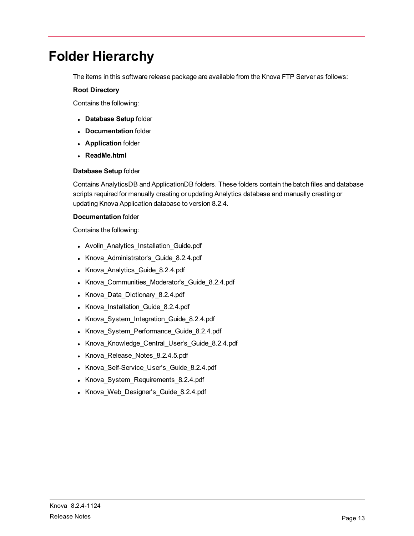## <span id="page-16-0"></span>**Folder Hierarchy**

The items in this software release package are available from the Knova FTP Server as follows:

#### **Root Directory**

Contains the following:

- <sup>l</sup> **Database Setup** folder
- **Documentation** folder
- **Application** folder
- <sup>l</sup> **ReadMe.html**

#### **Database Setup** folder

Contains AnalyticsDB and ApplicationDB folders. These folders contain the batch files and database scripts required for manually creating or updating Analytics database and manually creating or updating Knova Application database to version 8.2.4.

#### **Documentation** folder

Contains the following:

- Avolin\_Analytics\_Installation\_Guide.pdf
- Knova\_Administrator's\_Guide\_8.2.4.pdf
- Knova Analytics\_Guide\_8.2.4.pdf
- Knova\_Communities\_Moderator's\_Guide\_8.2.4.pdf
- Knova\_Data\_Dictionary\_8.2.4.pdf
- Knova\_Installation\_Guide\_8.2.4.pdf
- Knova\_System\_Integration\_Guide\_8.2.4.pdf
- Knova\_System\_Performance\_Guide\_8.2.4.pdf
- Knova\_Knowledge\_Central\_User's\_Guide\_8.2.4.pdf
- Knova\_Release\_Notes\_8.2.4.5.pdf
- Knova\_Self-Service\_User's\_Guide\_8.2.4.pdf
- Knova\_System\_Requirements\_8.2.4.pdf
- Knova\_Web\_Designer's\_Guide\_8.2.4.pdf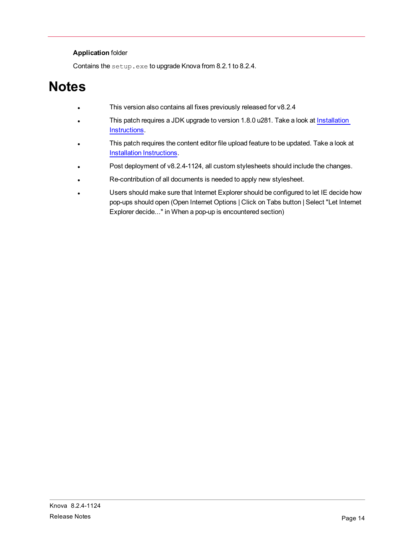#### **Application** folder

Contains the setup.exe to upgrade Knova from 8.2.1 to 8.2.4.

## <span id="page-17-0"></span>**Notes**

- This version also contains all fixes previously released for v8.2.4
- This patch requires a JDK upgrade to version 1.8.0 u281. Take a look at [Installation](#page-18-0) [Instructions](#page-18-0).
- This patch requires the content editor file upload feature to be updated. Take a look at Installation [Instructions](#page-18-0).
- Post deployment of v8.2.4-1124, all custom stylesheets should include the changes.
- Re-contribution of all documents is needed to apply new stylesheet.
- Users should make sure that Internet Explorer should be configured to let IE decide how pop-ups should open (Open Internet Options | Click on Tabs button | Select "Let Internet Explorer decide..." in When a pop-up is encountered section)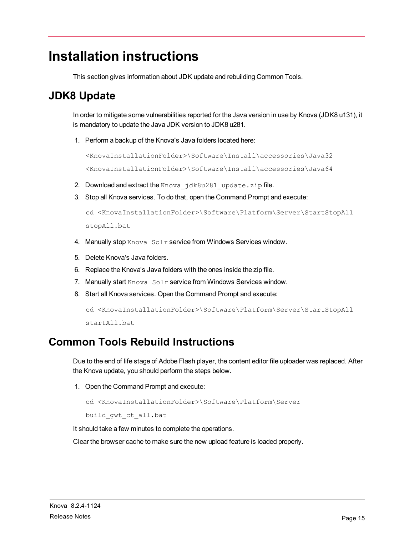#### <span id="page-18-0"></span>**Installation instructions**

This section gives information about JDK update and rebuilding Common Tools.

#### <span id="page-18-1"></span>**JDK8 Update**

In order to mitigate some vulnerabilities reported for the Java version in use by Knova (JDK8 u131), it is mandatory to update the Java JDK version to JDK8 u281.

1. Perform a backup of the Knova's Java folders located here:

```
<KnovaInstallationFolder>\Software\Install\accessories\Java32
<KnovaInstallationFolder>\Software\Install\accessories\Java64
```
- 2. Download and extract the Knova jdk8u281 update.zip file.
- 3. Stop all Knova services. To do that, open the Command Prompt and execute:

```
cd <KnovaInstallationFolder>\Software\Platform\Server\StartStopAll
stopAll.bat
```
- 4. Manually stop Knova Solr service from Windows Services window.
- 5. Delete Knova's Java folders.
- 6. Replace the Knova's Java folders with the ones inside the zip file.
- 7. Manually start Knova Solr service from Windows Services window.
- 8. Start all Knova services. Open the Command Prompt and execute:

```
cd <KnovaInstallationFolder>\Software\Platform\Server\StartStopAll
startAll.bat
```
#### <span id="page-18-2"></span>**Common Tools Rebuild Instructions**

Due to the end of life stage of Adobe Flash player, the content editor file uploader was replaced. After the Knova update, you should perform the steps below.

1. Open the Command Prompt and execute:

```
cd <KnovaInstallationFolder>\Software\Platform\Server
```
build\_gwt\_ct\_all.bat

It should take a few minutes to complete the operations.

Clear the browser cache to make sure the new upload feature is loaded properly.